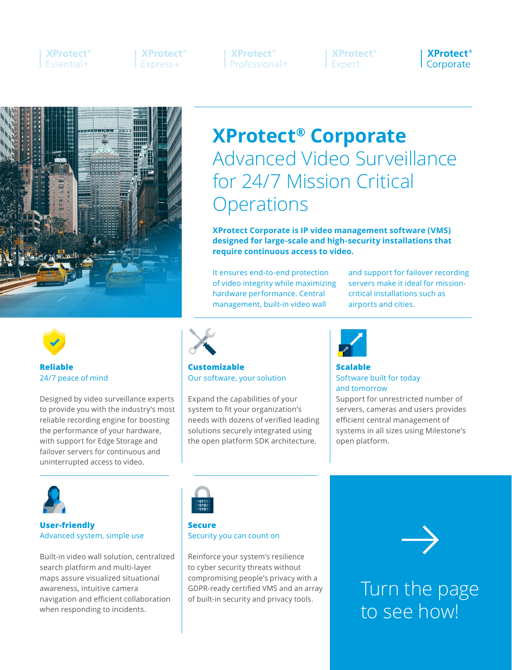## **XProtect**<sup>®</sup> **Fssential+**

**XProtect**<sup>®</sup> Express+

**XProtect**<sup>®</sup> Professional+

**XProtect**<sup>®</sup> Expert

**XProtect**<sup>®</sup> Corporate



# **XProtect® Corporate** Advanced Video Surveillance for 24/7 Mission Critical **Operations**

**XProtect Corporate is IP video management software (VMS) designed for large-scale and high-security installations that require continuous access to video.**

It ensures end-to-end protection of video integrity while maximizing hardware performance. Central management, built-in video wall

and support for failover recording servers make it ideal for missioncritical installations such as airports and cities.



**Reliable** 24/7 peace of mind

Designed by video surveillance experts to provide you with the industry's most reliable recording engine for boosting the performance of your hardware, with support for Edge Storage and failover servers for continuous and uninterrupted access to video.



## **Customizable** Our software, your solution

Expand the capabilities of your system to fit your organization's needs with dozens of verified leading solutions securely integrated using the open platform SDK architecture.



## **Scalable** Software built for today and tomorrow

Support for unrestricted number of servers, cameras and users provides efficient central management of systems in all sizes using Milestone's open platform.



## **User-friendly** Advanced system, simple use

Built-in video wall solution, centralized search platform and multi-layer maps assure visualized situational awareness, intuitive camera navigation and efficient collaboration when responding to incidents.



## **Secure** Security you can count on

Reinforce your system's resilience to cyber security threats without compromising people's privacy with a GDPR-ready certified VMS and an array of built-in security and privacy tools.



Turn the page to see how!